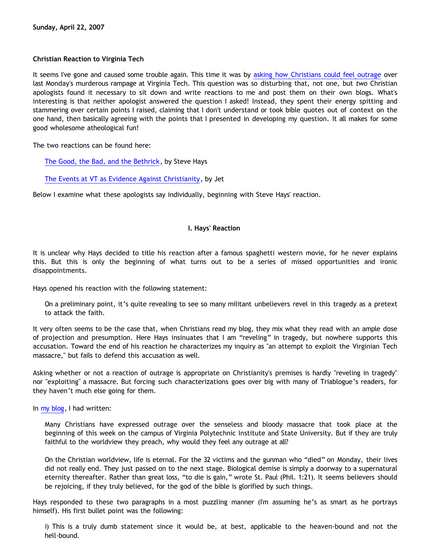# **Christian Reaction to Virginia Tech**

It seems I've gone and caused some trouble again. This time it was by [asking how Christians could feel outrage](http://bahnsenburner.blogspot.com/2007/04/virginia-tech.html) over last Monday's murderous rampage at Virginia Tech. This question was so disturbing that, not one, but *two* Christian apologists found it necessary to sit down and write reactions to me and post them on their own blogs. What's interesting is that neither apologist answered the question I asked! Instead, they spent their energy spitting and stammering over certain points I raised, claiming that I don't understand or took bible quotes out of context on the one hand, then basically agreeing with the points that I presented in developing my question. It all makes for some good wholesome atheological fun!

The two reactions can be found here:

[The Good, the Bad, and the Bethrick,](http://triablogue.blogspot.com/2007/04/good-bad-and-bethrick.html) by Steve Hays

[The Events at VT as Evidence Against Christianity](http://apolojet.notsorry.net/2007/04/21/the-events-at-vt-as-evidence-against-christianity/), by Jet

Below I examine what these apologists say individually, beginning with Steve Hays' reaction.

# **I. Hays' Reaction**

It is unclear why Hays decided to title his reaction after a famous spaghetti western movie, for he never explains this. But this is only the beginning of what turns out to be a series of missed opportunities and ironic disappointments.

Hays opened his reaction with the following statement:

On a preliminary point, it's quite revealing to see so many militant unbelievers revel in this tragedy as a pretext to attack the faith.

It very often seems to be the case that, when Christians read my blog, they mix what they read with an ample dose of projection and presumption. Here Hays insinuates that I am "reveling" in tragedy, but nowhere supports this accusation. Toward the end of his reaction he characterizes my inquiry as "an attempt to exploit the Virginian Tech massacre," but fails to defend this accusation as well.

Asking whether or not a reaction of outrage is appropriate on Christianity's premises is hardly "reveling in tragedy" nor "exploiting" a massacre. But forcing such characterizations goes over big with many of Triablogue's readers, for they haven't much else going for them.

In [my blog](http://bahnsenburner.blogspot.com/2007/04/virginia-tech.html), I had written:

Many Christians have expressed outrage over the senseless and bloody massacre that took place at the beginning of this week on the campus of Virginia Polytechnic Institute and State University. But if they are truly faithful to the worldview they preach, why would they feel any outrage at all?

On the Christian worldview, life is eternal. For the 32 victims and the gunman who "died" on Monday, their lives did not really end. They just passed on to the next stage. Biological demise is simply a doorway to a supernatural eternity thereafter. Rather than great loss, "to die is gain," wrote St. Paul (Phil. 1:21). It seems believers should be rejoicing, if they truly believed, for the god of the bible is glorified by such things.

Hays responded to these two paragraphs in a most puzzling manner (I'm assuming he's as smart as he portrays himself). His first bullet point was the following:

i) This is a truly dumb statement since it would be, at best, applicable to the heaven-bound and not the hell-bound.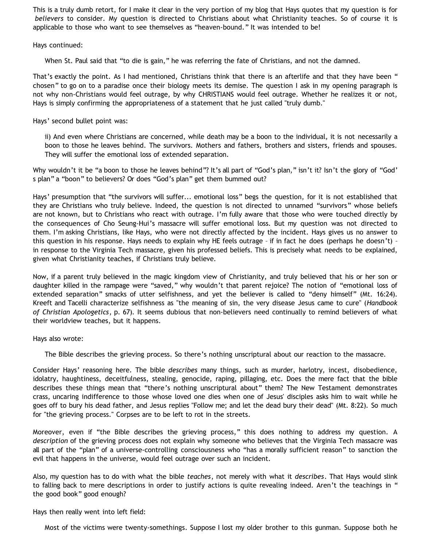This is a truly dumb retort, for I make it clear in the very portion of my blog that Hays quotes that my question is for *believers* to consider. My question is directed to Christians about what Christianity teaches. So of course it is applicable to those who want to see themselves as "heaven-bound." It was intended to be!

Hays continued:

When St. Paul said that "to die is gain," he was referring the fate of Christians, and not the damned.

That's exactly the point. As I had mentioned, Christians think that there is an afterlife and that they have been " chosen" to go on to a paradise once their biology meets its demise. The question I ask in my opening paragraph is not why non-Christians would feel outrage, by why CHRISTIANS would feel outrage. Whether he realizes it or not, Hays is simply confirming the appropriateness of a statement that he just called "truly dumb."

Hays' second bullet point was:

ii) And even where Christians are concerned, while death may be a boon to the individual, it is not necessarily a boon to those he leaves behind. The survivors. Mothers and fathers, brothers and sisters, friends and spouses. They will suffer the emotional loss of extended separation.

Why wouldn't it be "a boon to those he leaves behind"? It's all part of "God's plan," isn't it? Isn't the glory of "God' s plan" a "boon" to believers? Or does "God's plan" get them bummed out?

Hays' presumption that "the survivors will suffer... emotional loss" begs the question, for it is not established that they are Christians who truly believe. Indeed, the question is not directed to unnamed "survivors" whose beliefs are not known, but to Christians who react with outrage. I'm fully aware that those who were touched directly by the consequences of Cho Seung-Hui's massacre will suffer emotional loss. But my question was not directed to them. I'm asking Christians, like Hays, who were not directly affected by the incident. Hays gives us no answer to this question in his response. Hays needs to explain why HE feels outrage – if in fact he does (perhaps he doesn't) – in response to the Virginia Tech massacre, given his professed beliefs. This is precisely what needs to be explained, given what Christianity teaches, if Christians truly believe.

Now, if a parent truly believed in the magic kingdom view of Christianity, and truly believed that his or her son or daughter killed in the rampage were "saved," why wouldn't that parent rejoice? The notion of "emotional loss of extended separation" smacks of utter selfishness, and yet the believer is called to "deny himself" (Mt. 16:24). Kreeft and Tacelli characterize selfishness as "the meaning of sin, the very disease Jesus came to cure" (*Handbook of Christian Apologetics*, p. 67). It seems dubious that non-believers need continually to remind believers of what their worldview teaches, but it happens.

Hays also wrote:

The Bible describes the grieving process. So there's nothing unscriptural about our reaction to the massacre.

Consider Hays' reasoning here. The bible *describes* many things, such as murder, harlotry, incest, disobedience, idolatry, haughtiness, deceitfulness, stealing, genocide, raping, pillaging, etc. Does the mere fact that the bible describes these things mean that "there's nothing unscriptural about" them? The New Testament demonstrates crass, uncaring indifference to those whose loved one dies when one of Jesus' disciples asks him to wait while he goes off to bury his dead father, and Jesus replies "Follow me; and let the dead bury their dead" (Mt. 8:22). So much for "the grieving process." Corpses are to be left to rot in the streets.

Moreover, even if "the Bible describes the grieving process," this does nothing to address my question. A *description* of the grieving process does not explain why someone who believes that the Virginia Tech massacre was all part of the "plan" of a universe-controlling consciousness who "has a morally sufficient reason" to sanction the evil that happens in the universe, would feel outrage over such an incident.

Also, my question has to do with what the bible *teaches*, not merely with what it *describes*. That Hays would slink to falling back to mere descriptions in order to justify actions is quite revealing indeed. Aren't the teachings in " the good book" good enough?

Hays then really went into left field:

Most of the victims were twenty-somethings. Suppose I lost my older brother to this gunman. Suppose both he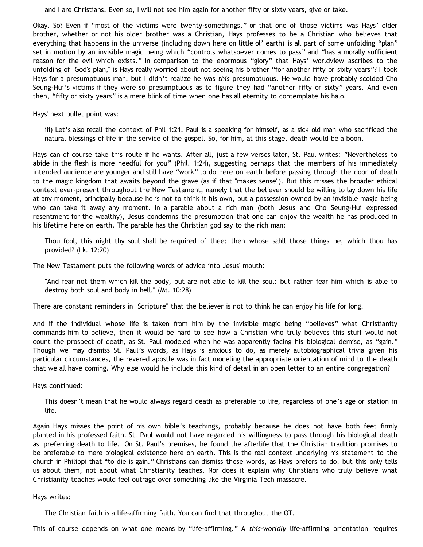and I are Christians. Even so, I will not see him again for another fifty or sixty years, give or take.

Okay. So? Even if "most of the victims were twenty-somethings," or that one of those victims was Hays' older brother, whether or not his older brother was a Christian, Hays professes to be a Christian who believes that everything that happens in the universe (including down here on little ol' earth) is all part of some unfolding "plan" set in motion by an invisible magic being which "controls whatsoever comes to pass" and "has a morally sufficient reason for the evil which exists." In comparison to the enormous "glory" that Hays' worldview ascribes to the unfolding of "God's plan," is Hays really worried about not seeing his brother "for another fifty or sixty years"? I took Hays for a presumptuous man, but I didn't realize he was *this* presumptuous. He would have probably scolded Cho Seung-Hui's victims if they were so presumptuous as to figure they had "another fifty or sixty" years. And even then, "fifty or sixty years" is a mere blink of time when one has all eternity to contemplate his halo.

Hays' next bullet point was:

iii) Let's also recall the context of Phil 1:21. Paul is a speaking for himself, as a sick old man who sacrificed the natural blessings of life in the service of the gospel. So, for him, at this stage, death would be a boon.

Hays can of course take this route if he wants. After all, just a few verses later, St. Paul writes: "Nevertheless to abide in the flesh is more needful for you" (Phil. 1:24), suggesting perhaps that the members of his immediately intended audience are younger and still have "work" to do here on earth before passing through the door of death to the magic kingdom that awaits beyond the grave (as if that "makes sense"). But this misses the broader ethical context ever-present throughout the New Testament, namely that the believer should be willing to lay down his life at any moment, principally because he is not to think it his own, but a possession owned by an invisible magic being who can take it away any moment. In a parable about a rich man (both Jesus and Cho Seung-Hui expressed resentment for the wealthy), Jesus condemns the presumption that one can enjoy the wealth he has produced in his lifetime here on earth. The parable has the Christian god say to the rich man:

Thou fool, this night thy soul shall be required of thee: then whose sahll those things be, which thou has provided? (Lk. 12:20)

The New Testament puts the following words of advice into Jesus' mouth:

"And fear not them which kill the body, but are not able to kill the soul: but rather fear him which is able to destroy both soul and body in hell." (Mt. 10:28)

There are constant reminders in "Scripture" that the believer is not to think he can enjoy his life for long.

And if the individual whose life is taken from him by the invisible magic being "believes" what Christianity commands him to believe, then it would be hard to see how a Christian who truly believes this stuff would not count the prospect of death, as St. Paul modeled when he was apparently facing his biological demise, as "gain." Though we may dismiss St. Paul's words, as Hays is anxious to do, as merely autobiographical trivia given his particular circumstances, the revered apostle was in fact modeling the appropriate orientation of mind to the death that we all have coming. Why else would he include this kind of detail in an open letter to an entire congregation?

Hays continued:

This doesn't mean that he would always regard death as preferable to life, regardless of one's age or station in life.

Again Hays misses the point of his own bible's teachings, probably because he does not have both feet firmly planted in his professed faith. St. Paul would not have regarded his willingness to pass through his biological death as "preferring death to life." On St. Paul's premises, he found the afterlife that the Christian tradition promises to be preferable to mere biological existence here on earth. This is the real context underlying his statement to the church in Philippi that "to die is gain." Christians can dismiss these words, as Hays prefers to do, but this only tells us about them, not about what Christianity teaches. Nor does it explain why Christians who truly believe what Christianity teaches would feel outrage over something like the Virginia Tech massacre.

#### Hays writes:

The Christian faith is a life-affirming faith. You can find that throughout the OT.

This of course depends on what one means by "life-affirming." A *this-worldly* life-affirming orientation requires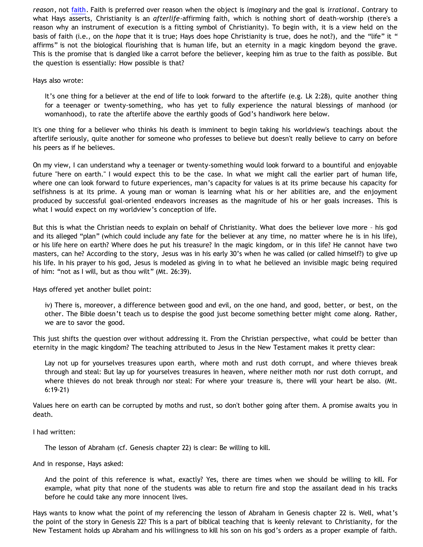*reason*, not [faith.](http://bahnsenburner.blogspot.com/2007/01/faith-as-belief-without-understanding.html) Faith is preferred over reason when the object is *imaginary* and the goal is *irrational*. Contrary to what Hays asserts, Christianity is an *afterlife*-affirming faith, which is nothing short of death-worship (there's a reason why an instrument of execution is a fitting symbol of Christianity). To begin with, it is a view held on the basis of faith (i.e., on the *hope* that it is true; Hays does hope Christianity is true, does he not?), and the "life" it " affirms" is not the biological flourishing that is human life, but an eternity in a magic kingdom beyond the grave. This is the promise that is dangled like a carrot before the believer, keeping him as true to the faith as possible. But the question is essentially: How possible is that?

Hays also wrote:

It's one thing for a believer at the end of life to look forward to the afterlife (e.g. Lk 2:28), quite another thing for a teenager or twenty-something, who has yet to fully experience the natural blessings of manhood (or womanhood), to rate the afterlife above the earthly goods of God's handiwork here below.

It's one thing for a believer who thinks his death is imminent to begin taking his worldview's teachings about the afterlife seriously, quite another for someone who professes to believe but doesn't really believe to carry on before his peers as if he believes.

On my view, I can understand why a teenager or twenty-something would look forward to a bountiful and enjoyable future "here on earth." I would expect this to be the case. In what we might call the earlier part of human life, where one can look forward to future experiences, man's capacity for values is at its prime because his capacity for selfishness is at its prime. A young man or woman is learning what his or her abilities are, and the enjoyment produced by successful goal-oriented endeavors increases as the magnitude of his or her goals increases. This is what I would expect on my worldview's conception of life.

But this is what the Christian needs to explain on behalf of Christianity. What does the believer love more – his god and its alleged "plan" (which could include any fate for the believer at any time, no matter where he is in his life), or his life here on earth? Where does he put his treasure? In the magic kingdom, or in this life? He cannot have two masters, can he? According to the story, Jesus was in his early 30's when he was called (or called himself?) to give up his life. In his prayer to his god, Jesus is modeled as giving in to what he believed an invisible magic being required of him: "not as I will, but as thou wilt" (Mt. 26:39).

Hays offered yet another bullet point:

iv) There is, moreover, a difference between good and evil, on the one hand, and good, better, or best, on the other. The Bible doesn't teach us to despise the good just become something better might come along. Rather, we are to savor the good.

This just shifts the question over without addressing it. From the Christian perspective, what could be better than eternity in the magic kingdom? The teaching attributed to Jesus in the New Testament makes it pretty clear:

Lay not up for yourselves treasures upon earth, where moth and rust doth corrupt, and where thieves break through and steal: But lay up for yourselves treasures in heaven, where neither moth nor rust doth corrupt, and where thieves do not break through nor steal: For where your treasure is, there will your heart be also. (Mt. 6:19-21)

Values here on earth can be corrupted by moths and rust, so don't bother going after them. A promise awaits you in death.

I had written:

The lesson of Abraham (cf. Genesis chapter 22) is clear: Be willing to kill.

And in response, Hays asked:

And the point of this reference is what, exactly? Yes, there are times when we should be willing to kill. For example, what pity that none of the students was able to return fire and stop the assailant dead in his tracks before he could take any more innocent lives.

Hays wants to know what the point of my referencing the lesson of Abraham in Genesis chapter 22 is. Well, what's the point of the story in Genesis 22? This is a part of biblical teaching that is keenly relevant to Christianity, for the New Testament holds up Abraham and his willingness to kill his son on his god's orders as a proper example of faith.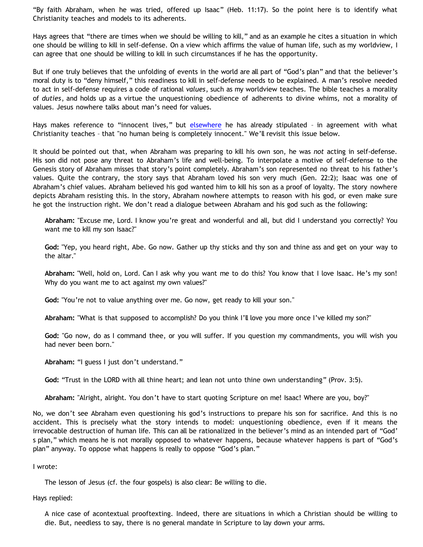"By faith Abraham, when he was tried, offered up Isaac" (Heb. 11:17). So the point here is to identify what Christianity teaches and models to its adherents.

Hays agrees that "there are times when we should be willing to kill," and as an example he cites a situation in which one should be willing to kill in self-defense. On a view which affirms the value of human life, such as my worldview, I can agree that one should be willing to kill in such circumstances if he has the opportunity.

But if one truly believes that the unfolding of events in the world are all part of "God's plan" and that the believer's moral duty is to "deny himself," this readiness to kill in self-defense needs to be explained. A man's resolve needed to act in self-defense requires a code of rational *values*, such as my worldview teaches. The bible teaches a morality of *duties*, and holds up as a virtue the unquestioning obedience of adherents to divine whims, not a morality of values. Jesus nowhere talks about man's need for values.

Hays makes reference to "innocent lives," but [elsewhere](http://triablogue.blogspot.com/2007/04/objective-morality.html) he has already stipulated - in agreement with what Christianity teaches – that "no human being is completely innocent." We'll revisit this issue below.

It should be pointed out that, when Abraham was preparing to kill his own son, he was *not* acting in self-defense. His son did not pose any threat to Abraham's life and well-being. To interpolate a motive of self-defense to the Genesis story of Abraham misses that story's point completely. Abraham's son represented no threat to his father's values. Quite the contrary, the story says that Abraham loved his son very much (Gen. 22:2); Isaac was one of Abraham's chief values. Abraham believed his god wanted him to kill his son as a proof of loyalty. The story nowhere depicts Abraham resisting this. In the story, Abraham nowhere attempts to reason with his god, or even make sure he got the instruction right. We don't read a dialogue between Abraham and his god such as the following:

**Abraham:** "Excuse me, Lord. I know you're great and wonderful and all, but did I understand you correctly? You want me to kill my son Isaac?"

**God:** "Yep, you heard right, Abe. Go now. Gather up thy sticks and thy son and thine ass and get on your way to the altar."

**Abraham:** "Well, hold on, Lord. Can I ask why you want me to do this? You know that I love Isaac. He's my son! Why do you want me to act against my own values?"

**God:** "You're not to value anything over me. Go now, get ready to kill your son."

**Abraham:** "What is that supposed to accomplish? Do you think I'll love you more once I've killed my son?"

**God:** "Go now, do as I command thee, or you will suffer. If you question my commandments, you will wish you had never been born."

**Abraham:** "I guess I just don't understand."

**God:** "Trust in the LORD with all thine heart; and lean not unto thine own understanding" (Prov. 3:5).

**Abraham:** "Alright, alright. You don't have to start quoting Scripture on me! Isaac! Where are you, boy?"

No, we don't see Abraham even questioning his god's instructions to prepare his son for sacrifice. And this is no accident. This is precisely what the story intends to model: unquestioning obedience, even if it means the irrevocable destruction of human life. This can all be rationalized in the believer's mind as an intended part of "God' s plan," which means he is not morally opposed to whatever happens, because whatever happens is part of "God's plan" anyway. To oppose what happens is really to oppose "God's plan."

I wrote:

The lesson of Jesus (cf. the four gospels) is also clear: Be willing to die.

Hays replied:

A nice case of acontextual prooftexting. Indeed, there are situations in which a Christian should be willing to die. But, needless to say, there is no general mandate in Scripture to lay down your arms.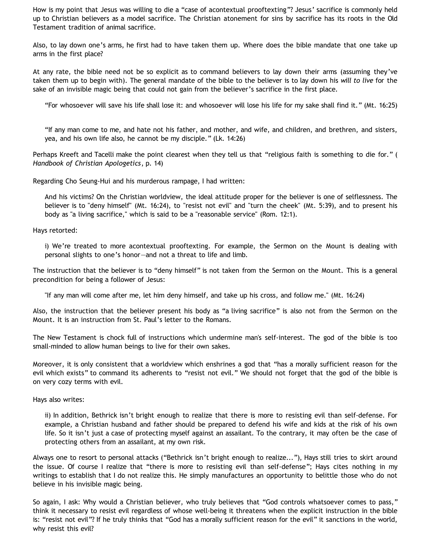How is my point that Jesus was willing to die a "case of acontextual prooftexting"? Jesus' sacrifice is commonly held up to Christian believers as a model sacrifice. The Christian atonement for sins by sacrifice has its roots in the Old Testament tradition of animal sacrifice.

Also, to lay down one's arms, he first had to have taken them up. Where does the bible mandate that one take up arms in the first place?

At any rate, the bible need not be so explicit as to command believers to lay down their arms (assuming they've taken them up to begin with). The general mandate of the bible to the believer is to lay down his *will to live* for the sake of an invisible magic being that could not gain from the believer's sacrifice in the first place.

"For whosoever will save his life shall lose it: and whosoever will lose his life for my sake shall find it." (Mt. 16:25)

"If any man come to me, and hate not his father, and mother, and wife, and children, and brethren, and sisters, yea, and his own life also, he cannot be my disciple." (Lk. 14:26)

Perhaps Kreeft and Tacelli make the point clearest when they tell us that "religious faith is something to die for." ( *Handbook of Christian Apologetics*, p. 14)

Regarding Cho Seung-Hui and his murderous rampage, I had written:

And his victims? On the Christian worldview, the ideal attitude proper for the believer is one of selflessness. The believer is to "deny himself" (Mt. 16:24), to "resist not evil" and "turn the cheek" (Mt. 5:39), and to present his body as "a living sacrifice," which is said to be a "reasonable service" (Rom. 12:1).

Hays retorted:

i) We're treated to more acontextual prooftexting. For example, the Sermon on the Mount is dealing with personal slights to one's honor—and not a threat to life and limb.

The instruction that the believer is to "deny himself" is not taken from the Sermon on the Mount. This is a general precondition for being a follower of Jesus:

"If any man will come after me, let him deny himself, and take up his cross, and follow me." (Mt. 16:24)

Also, the instruction that the believer present his body as "a living sacrifice" is also not from the Sermon on the Mount. It is an instruction from St. Paul's letter to the Romans.

The New Testament is chock full of instructions which undermine man's self-interest. The god of the bible is too small-minded to allow human beings to live for their own sakes.

Moreover, it is only consistent that a worldview which enshrines a god that "has a morally sufficient reason for the evil which exists" to command its adherents to "resist not evil." We should not forget that the god of the bible is on very cozy terms with evil.

Hays also writes:

ii) In addition, Bethrick isn't bright enough to realize that there is more to resisting evil than self-defense. For example, a Christian husband and father should be prepared to defend his wife and kids at the risk of his own life. So it isn't just a case of protecting myself against an assailant. To the contrary, it may often be the case of protecting others from an assailant, at my own risk.

Always one to resort to personal attacks ("Bethrick isn't bright enough to realize..."), Hays still tries to skirt around the issue. Of course I realize that "there is more to resisting evil than self-defense"; Hays cites nothing in my writings to establish that I do not realize this. He simply manufactures an opportunity to belittle those who do not believe in his invisible magic being.

So again, I ask: Why would a Christian believer, who truly believes that "God controls whatsoever comes to pass," think it necessary to resist evil regardless of whose well-being it threatens when the explicit instruction in the bible is: "resist not evil"? If he truly thinks that "God has a morally sufficient reason for the evil" it sanctions in the world, why resist this evil?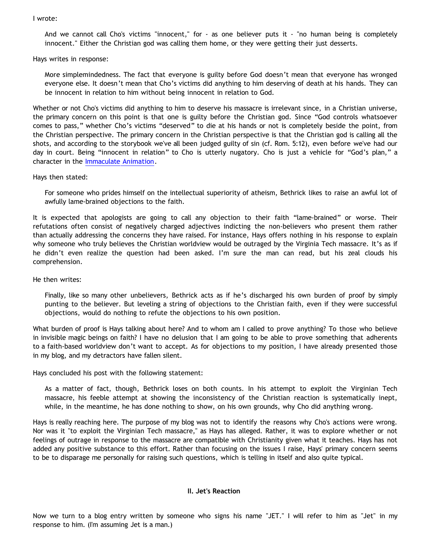### I wrote:

And we cannot call Cho's victims "innocent," for - as one believer puts it - "no human being is completely innocent." Either the Christian god was calling them home, or they were getting their just desserts.

Hays writes in response:

More simplemindedness. The fact that everyone is guilty before God doesn't mean that everyone has wronged everyone else. It doesn't mean that Cho's victims did anything to him deserving of death at his hands. They can be innocent in relation to him without being innocent in relation to God.

Whether or not Cho's victims did anything to him to deserve his massacre is irrelevant since, in a Christian universe, the primary concern on this point is that one is guilty before the Christian god. Since "God controls whatsoever comes to pass," whether Cho's victims "deserved" to die at his hands or not is completely beside the point, from the Christian perspective. The primary concern in the Christian perspective is that the Christian god is calling all the shots, and according to the storybook we've all been judged guilty of sin (cf. Rom. 5:12), even before we've had our day in court. Being "innocent in relation" to Cho is utterly nugatory. Cho is just a vehicle for "God's plan," a character in the [Immaculate Animation.](http://www.strongatheism.net/library/atheology/cartoon_universe_of_theism/)

Hays then stated:

For someone who prides himself on the intellectual superiority of atheism, Bethrick likes to raise an awful lot of awfully lame-brained objections to the faith.

It is expected that apologists are going to call any objection to their faith "lame-brained" or worse. Their refutations often consist of negatively charged adjectives indicting the non-believers who present them rather than actually addressing the concerns they have raised. For instance, Hays offers nothing in his response to explain why someone who truly believes the Christian worldview would be outraged by the Virginia Tech massacre. It's as if he didn't even realize the question had been asked. I'm sure the man can read, but his zeal clouds his comprehension.

He then writes:

Finally, like so many other unbelievers, Bethrick acts as if he's discharged his own burden of proof by simply punting to the believer. But leveling a string of objections to the Christian faith, even if they were successful objections, would do nothing to refute the objections to his own position.

What burden of proof is Hays talking about here? And to whom am I called to prove anything? To those who believe in invisible magic beings on faith? I have no delusion that I am going to be able to prove something that adherents to a faith-based worldview don't want to accept. As for objections to my position, I have already presented those in my blog, and my detractors have fallen silent.

Hays concluded his post with the following statement:

As a matter of fact, though, Bethrick loses on both counts. In his attempt to exploit the Virginian Tech massacre, his feeble attempt at showing the inconsistency of the Christian reaction is systematically inept, while, in the meantime, he has done nothing to show, on his own grounds, why Cho did anything wrong.

Hays is really reaching here. The purpose of my blog was not to identify the reasons why Cho's actions were wrong. Nor was it "to exploit the Virginian Tech massacre," as Hays has alleged. Rather, it was to explore whether or not feelings of outrage in response to the massacre are compatible with Christianity given what it teaches. Hays has not added any positive substance to this effort. Rather than focusing on the issues I raise, Hays' primary concern seems to be to disparage me personally for raising such questions, which is telling in itself and also quite typical.

#### **II. Jet's Reaction**

Now we turn to a blog entry written by someone who signs his name "JET." I will refer to him as "Jet" in my response to him. (I'm assuming Jet is a man.)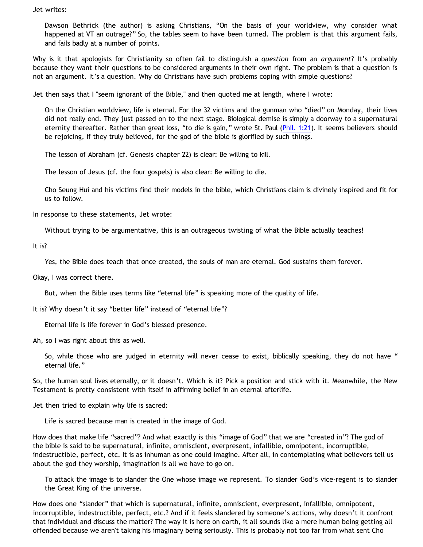Jet writes:

Dawson Bethrick (the author) is asking Christians, "On the basis of your worldview, why consider what happened at VT an outrage?" So, the tables seem to have been turned. The problem is that this argument fails, and fails badly at a number of points.

Why is it that apologists for Christianity so often fail to distinguish a *question* from an *argument*? It's probably because they want their questions to be considered arguments in their own right. The problem is that a question is not an argument. It's a question. Why do Christians have such problems coping with simple questions?

Jet then says that I "seem ignorant of the Bible," and then quoted me at length, where I wrote:

On the Christian worldview, life is eternal. For the 32 victims and the gunman who "died" on Monday, their lives did not really end. They just passed on to the next stage. Biological demise is simply a doorway to a supernatural eternity thereafter. Rather than great loss, "to die is gain," wrote St. Paul ([Phil. 1:21\)](http://biblegateway.com/bible?version=&passage=Phil.+1%3A21). It seems believers should be rejoicing, if they truly believed, for the god of the bible is glorified by such things.

The lesson of Abraham (cf. Genesis chapter 22) is clear: Be willing to kill.

The lesson of Jesus (cf. the four gospels) is also clear: Be willing to die.

Cho Seung Hui and his victims find their models in the bible, which Christians claim is divinely inspired and fit for us to follow.

In response to these statements, Jet wrote:

Without trying to be argumentative, this is an outrageous twisting of what the Bible actually teaches!

It is?

Yes, the Bible does teach that once created, the souls of man are eternal. God sustains them forever.

Okay, I was correct there.

But, when the Bible uses terms like "eternal life" is speaking more of the quality of life.

It is? Why doesn't it say "better life" instead of "eternal life"?

Eternal life is life forever in God's blessed presence.

Ah, so I was right about this as well.

So, while those who are judged in eternity will never cease to exist, biblically speaking, they do not have " eternal life."

So, the human soul lives eternally, or it doesn't. Which is it? Pick a position and stick with it. Meanwhile, the New Testament is pretty consistent with itself in affirming belief in an eternal afterlife.

Jet then tried to explain why life is sacred:

Life is sacred because man is created in the image of God.

How does that make life "sacred"? And what exactly is this "image of God" that we are "created in"? The god of the bible is said to be supernatural, infinite, omniscient, everpresent, infallible, omnipotent, incorruptible, indestructible, perfect, etc. It is as inhuman as one could imagine. After all, in contemplating what believers tell us about the god they worship, imagination is all we have to go on.

To attack the image is to slander the One whose image we represent. To slander God's vice-regent is to slander the Great King of the universe.

How does one "slander" that which is supernatural, infinite, omniscient, everpresent, infallible, omnipotent, incorruptible, indestructible, perfect, etc.? And if it feels slandered by someone's actions, why doesn't it confront that individual and discuss the matter? The way it is here on earth, it all sounds like a mere human being getting all offended because we aren't taking his imaginary being seriously. This is probably not too far from what sent Cho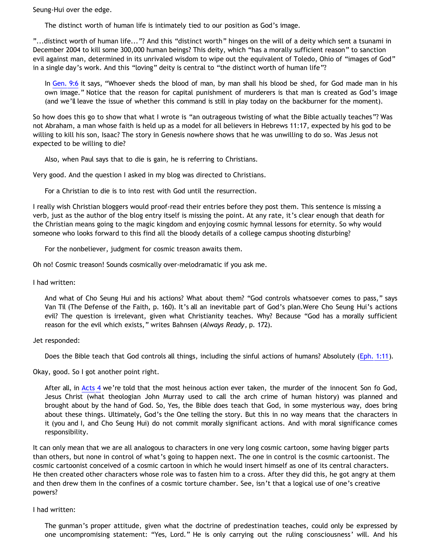Seung-Hui over the edge.

The distinct worth of human life is intimately tied to our position as God's image.

"...distinct worth of human life..."? And this "distinct worth" hinges on the will of a deity which sent a tsunami in December 2004 to kill some 300,000 human beings? This deity, which "has a morally sufficient reason" to sanction evil against man, determined in its unrivaled wisdom to wipe out the equivalent of Toledo, Ohio of "images of God" in a single day's work. And this "loving" deity is central to "the distinct worth of human life"?

In [Gen. 9:6](http://biblegateway.com/bible?version=&passage=Gen.+9%3A6) it says, "Whoever sheds the blood of man, by man shall his blood be shed, for God made man in his own image." Notice that the reason for capital punishment of murderers is that man is created as God's image (and we'll leave the issue of whether this command is still in play today on the backburner for the moment).

So how does this go to show that what I wrote is "an outrageous twisting of what the Bible actually teaches"? Was not Abraham, a man whose faith is held up as a model for all believers in Hebrews 11:17, expected by his god to be willing to kill his son, Isaac? The story in Genesis nowhere shows that he was unwilling to do so. Was Jesus not expected to be willing to die?

Also, when Paul says that to die is gain, he is referring to Christians.

Very good. And the question I asked in my blog was directed to Christians.

For a Christian to die is to into rest with God until the resurrection.

I really wish Christian bloggers would proof-read their entries before they post them. This sentence is missing a verb, just as the author of the blog entry itself is missing the point. At any rate, it's clear enough that death for the Christian means going to the magic kingdom and enjoying cosmic hymnal lessons for eternity. So why would someone who looks forward to this find all the bloody details of a college campus shooting disturbing?

For the nonbeliever, judgment for cosmic treason awaits them.

Oh no! Cosmic treason! Sounds cosmically over-melodramatic if you ask me.

I had written:

And what of Cho Seung Hui and his actions? What about them? "God controls whatsoever comes to pass," says Van Til (The Defense of the Faith, p. 160). It's all an inevitable part of God's plan.Were Cho Seung Hui's actions evil? The question is irrelevant, given what Christianity teaches. Why? Because "God has a morally sufficient reason for the evil which exists," writes Bahnsen (*Always Ready*, p. 172).

Jet responded:

Does the Bible teach that God controls all things, including the sinful actions of humans? Absolutely ([Eph. 1:11](http://biblegateway.com/bible?version=&passage=Eph.+1%3A11)).

Okay, good. So I got another point right.

After all, in [Acts 4](http://biblegateway.com/bible?version=&passage=Acts+4) we're told that the most heinous action ever taken, the murder of the innocent Son fo God, Jesus Christ (what theologian John Murray used to call the arch crime of human history) was planned and brought about by the hand of God. So, Yes, the Bible does teach that God, in some mysterious way, does bring about these things. Ultimately, God's the One telling the story. But this in no way means that the characters in it (you and I, and Cho Seung Hui) do not commit morally significant actions. And with moral significance comes responsibility.

It can only mean that we are all analogous to characters in one very long cosmic cartoon, some having bigger parts than others, but none in control of what's going to happen next. The one in control is the cosmic cartoonist. The cosmic cartoonist conceived of a cosmic cartoon in which he would insert himself as one of its central characters. He then created other characters whose role was to fasten him to a cross. After they did this, he got angry at them and then drew them in the confines of a cosmic torture chamber. See, isn't that a logical use of one's creative powers?

I had written:

The gunman's proper attitude, given what the doctrine of predestination teaches, could only be expressed by one uncompromising statement: "Yes, Lord." He is only carrying out the ruling consciousness' will. And his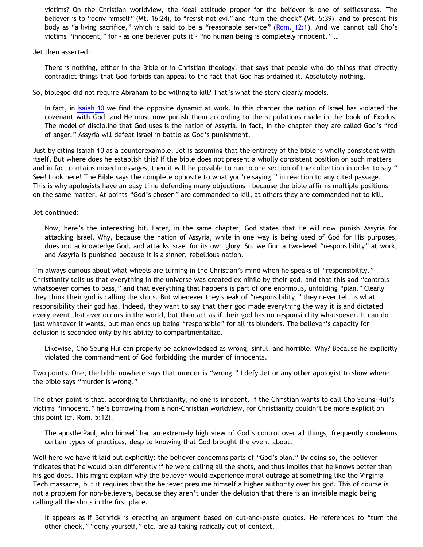victims? On the Christian worldview, the ideal attitude proper for the believer is one of selflessness. The believer is to "deny himself" (Mt. 16:24), to "resist not evil" and "turn the cheek" (Mt. 5:39), and to present his body as "a living sacrifice," which is said to be a "reasonable service" ([Rom. 12:1\)](http://biblegateway.com/bible?version=&passage=Rom.+12%3A1). And we cannot call Cho's victims "innocent," for - as one believer puts it - "no human being is completely innocent." ...

Jet then asserted:

There is nothing, either in the Bible or in Christian theology, that says that people who do things that directly contradict things that God forbids can appeal to the fact that God has ordained it. Absolutely nothing.

So, biblegod did not require Abraham to be willing to kill? That's what the story clearly models.

In fact, in [Isaiah 10](http://biblegateway.com/bible?version=&passage=Isaiah+10) we find the opposite dynamic at work. In this chapter the nation of Israel has violated the covenant with God, and He must now punish them according to the stipulations made in the book of Exodus. The model of discipline that God uses is the nation of Assyria. In fact, in the chapter they are called God's "rod of anger." Assyria will defeat Israel in battle as God's punishment.

Just by citing Isaiah 10 as a counterexample, Jet is assuming that the entirety of the bible is wholly consistent with itself. But where does he establish this? If the bible does not present a wholly consistent position on such matters and in fact contains mixed messages, then it will be possible to run to one section of the collection in order to say " See! Look here! The Bible says the complete opposite to what you're saying!" in reaction to any cited passage. This is why apologists have an easy time defending many objections – because the bible affirms multiple positions on the same matter. At points "God's chosen" are commanded to kill, at others they are commanded not to kill.

Jet continued:

Now, here's the interesting bit. Later, in the same chapter, God states that He will now punish Assyria for attacking Israel. Why, because the nation of Assyria, while in one way is being used of God for His purposes, does not acknowledge God, and attacks Israel for its own glory. So, we find a two-level "responsibility" at work, and Assyria is punished because it is a sinner, rebellious nation.

I'm always curious about what wheels are turning in the Christian's mind when he speaks of "responsibility." Christianity tells us that everything in the universe was created ex nihilo by their god, and that this god "controls whatsoever comes to pass," and that everything that happens is part of one enormous, unfolding "plan." Clearly they think their god is calling the shots. But whenever they speak of "responsibility," they never tell us what responsibility their god has. Indeed, they want to say that their god made everything the way it is and dictated every event that ever occurs in the world, but then act as if their god has no responsibility whatsoever. It can do just whatever it wants, but man ends up being "responsible" for all its blunders. The believer's capacity for delusion is seconded only by his ability to compartmentalize.

Likewise, Cho Seung Hui can properly be acknowledged as wrong, sinful, and horrible. Why? Because he explicitly violated the commandment of God forbidding the murder of innocents.

Two points. One, the bible nowhere says that murder is "wrong." I defy Jet or any other apologist to show where the bible says "murder is wrong."

The other point is that, according to Christianity, no one is innocent. If the Christian wants to call Cho Seung-Hui's victims "innocent," he's borrowing from a non-Christian worldview, for Christianity couldn't be more explicit on this point (cf. Rom. 5:12).

The apostle Paul, who himself had an extremely high view of God's control over all things, frequently condemns certain types of practices, despite knowing that God brought the event about.

Well here we have it laid out explicitly: the believer condemns parts of "God's plan." By doing so, the believer indicates that he would plan differently if he were calling all the shots, and thus implies that he knows better than his god does. This might explain why the believer would experience moral outrage at something like the Virginia Tech massacre, but it requires that the believer presume himself a higher authority over his god. This of course is not a problem for non-believers, because they aren't under the delusion that there is an invisible magic being calling all the shots in the first place.

It appears as if Bethrick is erecting an argument based on cut-and-paste quotes. He references to "turn the other cheek," "deny yourself," etc. are all taking radically out of context.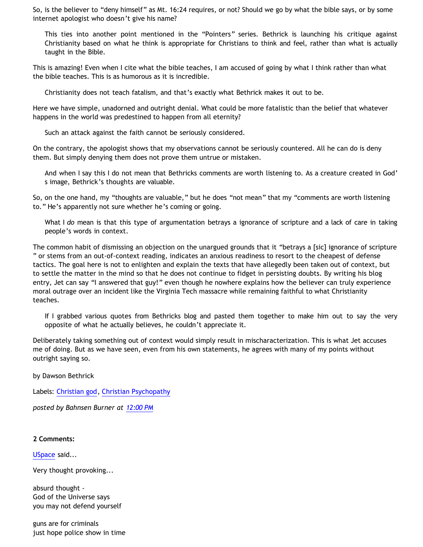So, is the believer to "deny himself" as Mt. 16:24 requires, or not? Should we go by what the bible says, or by some internet apologist who doesn't give his name?

This ties into another point mentioned in the "Pointers" series. Bethrick is launching his critique against Christianity based on what he think is appropriate for Christians to think and feel, rather than what is actually taught in the Bible.

This is amazing! Even when I cite what the bible teaches, I am accused of going by what I think rather than what the bible teaches. This is as humorous as it is incredible.

Christianity does not teach fatalism, and that's exactly what Bethrick makes it out to be.

Here we have simple, unadorned and outright denial. What could be more fatalistic than the belief that whatever happens in the world was predestined to happen from all eternity?

Such an attack against the faith cannot be seriously considered.

On the contrary, the apologist shows that my observations cannot be seriously countered. All he can do is deny them. But simply denying them does not prove them untrue or mistaken.

And when I say this I do not mean that Bethricks comments are worth listening to. As a creature created in God' s image, Bethrick's thoughts are valuable.

So, on the one hand, my "thoughts are valuable," but he does "not mean" that my "comments are worth listening to." He's apparently not sure whether he's coming or going.

What I *do* mean is that this type of argumentation betrays a ignorance of scripture and a lack of care in taking people's words in context.

The common habit of dismissing an objection on the unargued grounds that it "betrays a [sic] ignorance of scripture " or stems from an out-of-context reading, indicates an anxious readiness to resort to the cheapest of defense tactics. The goal here is not to enlighten and explain the texts that have allegedly been taken out of context, but to settle the matter in the mind so that he does not continue to fidget in persisting doubts. By writing his blog entry, Jet can say "I answered that guy!" even though he nowhere explains how the believer can truly experience moral outrage over an incident like the Virginia Tech massacre while remaining faithful to what Christianity teaches.

If I grabbed various quotes from Bethricks blog and pasted them together to make him out to say the very opposite of what he actually believes, he couldn't appreciate it.

Deliberately taking something out of context would simply result in mischaracterization. This is what Jet accuses me of doing. But as we have seen, even from his own statements, he agrees with many of my points without outright saying so.

by Dawson Bethrick

Labels: [Christian god](http://bahnsenburner.blogspot.com/search/label/Christian%20god), [Christian Psychopathy](http://bahnsenburner.blogspot.com/search/label/Christian%20Psychopathy)

*posted by Bahnsen Burner at [12:00 PM](http://bahnsenburner.blogspot.com/2007/04/christian-reaction-to-virginia-tech.html)*

#### **2 Comments:**

[USpace](http://www.blogger.com/profile/00786470726332272129) said...

Very thought provoking...

absurd thought - God of the Universe says you may not defend yourself

guns are for criminals just hope police show in time